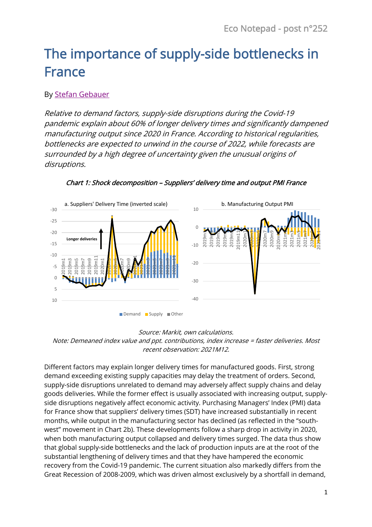# The importance of supply-side bottlenecks in France

## By [Stefan Gebauer](https://www.banque-france.fr/en/stefan-gebauer)

Relative to demand factors, supply-side disruptions during the Covid-19 pandemic explain about 60% of longer delivery times and significantly dampened manufacturing output since 2020 in France. According to historical regularities, bottlenecks are expected to unwind in the course of 2022, while forecasts are surrounded by a high degree of uncertainty given the unusual origins of disruptions.



### Chart 1: Shock decomposition – Suppliers' delivery time and output PMI France

#### Source: Markit, own calculations. Note: Demeaned index value and ppt. contributions, index increase = faster deliveries. Most recent observation: 2021M12.

Different factors may explain longer delivery times for manufactured goods. First, strong demand exceeding existing supply capacities may delay the treatment of orders. Second, supply-side disruptions unrelated to demand may adversely affect supply chains and delay goods deliveries. While the former effect is usually associated with increasing output, supplyside disruptions negatively affect economic activity. Purchasing Managers' Index (PMI) data for France show that suppliers' delivery times (SDT) have increased substantially in recent months, while output in the manufacturing sector has declined (as reflected in the "southwest" movement in Chart 2b). These developments follow a sharp drop in activity in 2020, when both manufacturing output collapsed and delivery times surged. The data thus show that global supply-side bottlenecks and the lack of production inputs are at the root of the substantial lengthening of delivery times and that they have hampered the economic recovery from the Covid-19 pandemic. The current situation also markedly differs from the Great Recession of 2008-2009, which was driven almost exclusively by a shortfall in demand,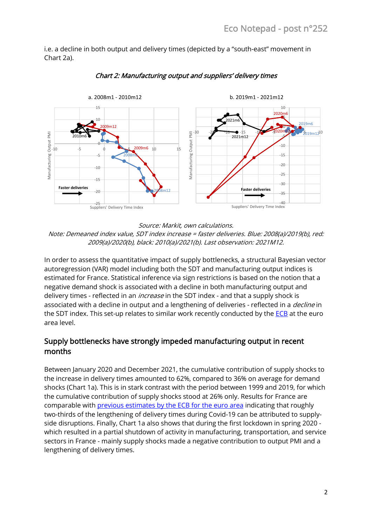i.e. a decline in both output and delivery times (depicted by a "south-east" movement in Chart 2a).



Chart 2: Manufacturing output and suppliers' delivery times

Source: Markit, own calculations.

Note: Demeaned index value, SDT index increase = faster deliveries. Blue: 2008(a)/2019(b), red: 2009(a)/2020(b), black: 2010(a)/2021(b). Last observation: 2021M12.

In order to assess the quantitative impact of supply bottlenecks, a structural Bayesian vector autoregression (VAR) model including both the SDT and manufacturing output indices is estimated for France. Statistical inference via sign restrictions is based on the notion that a negative demand shock is associated with a decline in both manufacturing output and delivery times - reflected in an *increase* in the SDT index - and that a supply shock is associated with a decline in output and a lengthening of deliveries - reflected in a *decline* in the SDT index. This set-up relates to similar work recently conducted by the [ECB](https://www.ecb.europa.eu/pub/economic-bulletin/focus/2022/html/ecb.ebbox202108_07~e6aad7d32f.en.html) at the euro area level.

## Supply bottlenecks have strongly impeded manufacturing output in recent months

Between January 2020 and December 2021, the cumulative contribution of supply shocks to the increase in delivery times amounted to 62%, compared to 36% on average for demand shocks (Chart 1a). This is in stark contrast with the period between 1999 and 2019, for which the cumulative contribution of supply shocks stood at 26% only. Results for France are comparable with previous estimates [by the ECB for the euro area](https://www.ecb.europa.eu/press/key/date/2021/html/ecb.sp211124~a0bb243dfe.en.html) indicating that roughly two-thirds of the lengthening of delivery times during Covid-19 can be attributed to supplyside disruptions. Finally, Chart 1a also shows that during the first lockdown in spring 2020 which resulted in a partial shutdown of activity in manufacturing, transportation, and service sectors in France - mainly supply shocks made a negative contribution to output PMI and a lengthening of delivery times.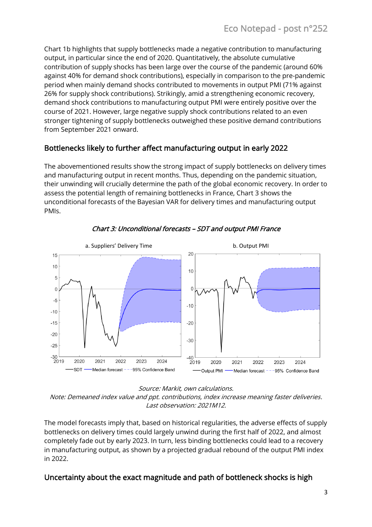Chart 1b highlights that supply bottlenecks made a negative contribution to manufacturing output, in particular since the end of 2020. Quantitatively, the absolute cumulative contribution of supply shocks has been large over the course of the pandemic (around 60% against 40% for demand shock contributions), especially in comparison to the pre-pandemic period when mainly demand shocks contributed to movements in output PMI (71% against 26% for supply shock contributions). Strikingly, amid a strengthening economic recovery, demand shock contributions to manufacturing output PMI were entirely positive over the course of 2021. However, large negative supply shock contributions related to an even stronger tightening of supply bottlenecks outweighed these positive demand contributions from September 2021 onward.

## Bottlenecks likely to further affect manufacturing output in early 2022

The abovementioned results show the strong impact of supply bottlenecks on delivery times and manufacturing output in recent months. Thus, depending on the pandemic situation, their unwinding will crucially determine the path of the global economic recovery. In order to assess the potential length of remaining bottlenecks in France, Chart 3 shows the unconditional forecasts of the Bayesian VAR for delivery times and manufacturing output PMIs.



Chart 3: Unconditional forecasts – SDT and output PMI France

Source: Markit, own calculations.

Note: Demeaned index value and ppt. contributions, index increase meaning faster deliveries. Last observation: 2021M12.

The model forecasts imply that, based on historical regularities, the adverse effects of supply bottlenecks on delivery times could largely unwind during the first half of 2022, and almost completely fade out by early 2023. In turn, less binding bottlenecks could lead to a recovery in manufacturing output, as shown by a projected gradual rebound of the output PMI index in 2022.

## Uncertainty about the exact magnitude and path of bottleneck shocks is high